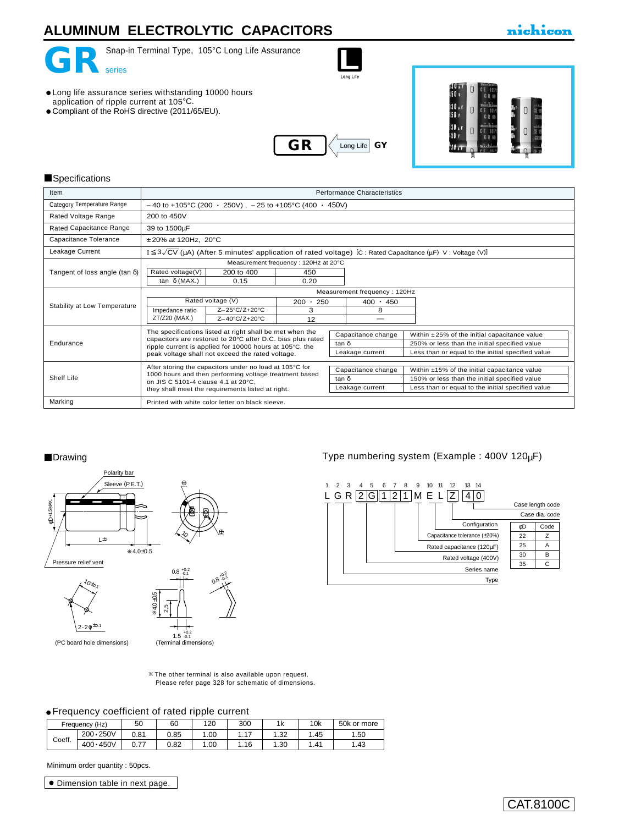# **ALUMINUM ELECTROLYTIC CAPACITORS**

### nichicon



Snap-in Terminal Type, 105°C Long Life Assurance

Long Lit

- Long life assurance series withstanding 10000 hours application of ripple current at 105°C.
- Compliant of the RoHS directive (2011/65/EU).





#### **Specifications**

| Item                                  | Performance Characteristics                                                                                           |                                      |       |                                                    |                                               |  |
|---------------------------------------|-----------------------------------------------------------------------------------------------------------------------|--------------------------------------|-------|----------------------------------------------------|-----------------------------------------------|--|
| Category Temperature Range            | $-40$ to +105°C (200 $\cdot$ 250V), $-25$ to +105°C (400 $\cdot$ 450V)                                                |                                      |       |                                                    |                                               |  |
| Rated Voltage Range                   | 200 to 450V                                                                                                           |                                      |       |                                                    |                                               |  |
| Rated Capacitance Range               | 39 to 1500µF                                                                                                          |                                      |       |                                                    |                                               |  |
| Capacitance Tolerance                 | $±20\%$ at 120Hz, 20 $°C$                                                                                             |                                      |       |                                                    |                                               |  |
| Leakage Current                       | $I \leq 3\sqrt{CV}$ (µA) (After 5 minutes' application of rated voltage) [C : Rated Capacitance (µF) V : Voltage (V)] |                                      |       |                                                    |                                               |  |
|                                       |                                                                                                                       | Measurement frequency: 120Hz at 20°C |       |                                                    |                                               |  |
| Tangent of loss angle (tan $\delta$ ) | Rated voltage(V)<br>200 to 400                                                                                        | 450                                  |       |                                                    |                                               |  |
|                                       | 0.15<br>tan $\delta$ (MAX.)                                                                                           | 0.20                                 |       |                                                    |                                               |  |
|                                       | Measurement frequency: 120Hz                                                                                          |                                      |       |                                                    |                                               |  |
|                                       | Rated voltage (V)<br>250<br>$200 -$                                                                                   |                                      |       | $400 \cdot 450$                                    |                                               |  |
| Stability at Low Temperature          | Impedance ratio<br>Z-25°C/Z+20°C                                                                                      | 3                                    |       | 8                                                  |                                               |  |
|                                       | ZT/Z20 (MAX.)<br>Z-40°C/Z+20°C                                                                                        | 12                                   |       |                                                    |                                               |  |
|                                       | The specifications listed at right shall be met when the                                                              | Capacitance change                   |       | Within $\pm 25\%$ of the initial capacitance value |                                               |  |
| Endurance                             | capacitors are restored to 20°C after D.C. bias plus rated<br>ripple current is applied for 10000 hours at 105°C, the |                                      | tan δ |                                                    | 250% or less than the initial specified value |  |
|                                       | peak voltage shall not exceed the rated voltage.                                                                      | Leakage current                      |       | Less than or equal to the initial specified value  |                                               |  |
|                                       | After storing the capacitors under no load at 105°C for                                                               |                                      |       |                                                    |                                               |  |
| Shelf Life                            | 1000 hours and then performing voltage treatment based                                                                | Capacitance change                   |       | Within ±15% of the initial capacitance value       |                                               |  |
|                                       | on JIS C 5101-4 clause 4.1 at 20°C.                                                                                   | tan δ                                |       | 150% or less than the initial specified value      |                                               |  |
|                                       | they shall meet the requirements listed at right.                                                                     | Leakage current                      |       | Less than or equal to the initial specified value  |                                               |  |
| Marking                               | Printed with white color letter on black sleeve.                                                                      |                                      |       |                                                    |                                               |  |

#### **Drawing**



Type numbering system (Example : 400V 120µF)



The other terminal is also available upon request. [Please refer page 328 for schematic of dimensions.](e-term01.pdf)

#### Frequency coefficient of rated ripple current

|  |        | Frequency (Hz)    | 50          | 60   | 120   | 300     | 1k   | 10k  | 50k or more |
|--|--------|-------------------|-------------|------|-------|---------|------|------|-------------|
|  | Coeff. | $200 \cdot 250 V$ | 0.81        | 0.85 | 00. ، | 17<br>. | 1.32 | l.45 | 1.50        |
|  |        | $400 \cdot 450V$  | 77<br>v. 77 | 0.82 | . .00 | 1.16    | 30.، | .41  | .43         |

Minimum order quantity : 50pcs.

Dimension table in next page.

## CAT.8100C